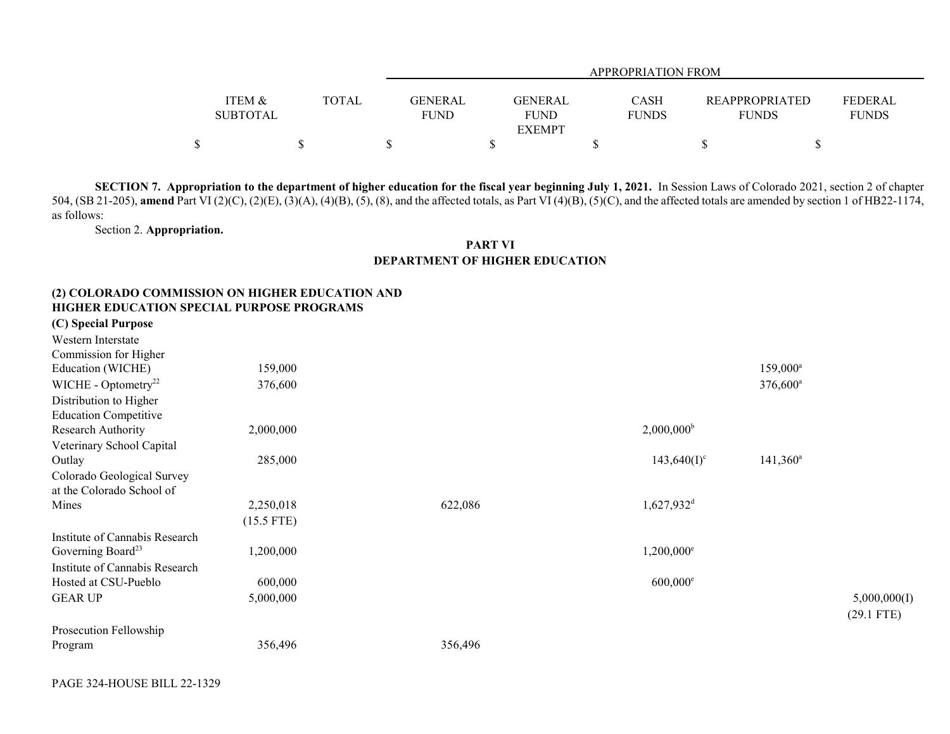|                   |       |             | <b>APPROPRIATION FROM</b> |              |                       |                |  |  |  |  |  |
|-------------------|-------|-------------|---------------------------|--------------|-----------------------|----------------|--|--|--|--|--|
| <b>ITEM &amp;</b> | TOTAL | GENERAL     | GENERAL                   | CASH         | <b>REAPPROPRIATED</b> | <b>FEDERAL</b> |  |  |  |  |  |
| <b>SUBTOTAL</b>   |       | <b>FUND</b> | <b>FUND</b>               | <b>FUNDS</b> | <b>FUNDS</b>          | <b>FUNDS</b>   |  |  |  |  |  |
|                   |       |             | <b>EXEMPT</b>             |              |                       |                |  |  |  |  |  |
| Φ<br>Φ            |       |             |                           |              |                       |                |  |  |  |  |  |

**SECTION 7. Appropriation to the department of higher education for the fiscal year beginning July 1, 2021.** In Session Laws of Colorado 2021, section 2 of chapter 504, (SB 21-205), **amend** Part VI (2)(C), (2)(E), (3)(A), (4)(B), (5), (8), and the affected totals, as Part VI (4)(B), (5)(C), and the affected totals are amended by section 1 of HB22-1174, as follows:

Section 2. **Appropriation.**

## **PART VI DEPARTMENT OF HIGHER EDUCATION**

## **(2) COLORADO COMMISSION ON HIGHER EDUCATION AND HIGHER EDUCATION SPECIAL PURPOSE PROGRAMS**

**(C) Special Purpose**

| Western Interstate              |              |         |                          |                   |              |
|---------------------------------|--------------|---------|--------------------------|-------------------|--------------|
| Commission for Higher           |              |         |                          |                   |              |
| Education (WICHE)               | 159,000      |         |                          | $159,000^{\rm a}$ |              |
| WICHE - Optometry <sup>22</sup> | 376,600      |         |                          | $376,600^{\circ}$ |              |
| Distribution to Higher          |              |         |                          |                   |              |
| <b>Education Competitive</b>    |              |         |                          |                   |              |
| Research Authority              | 2,000,000    |         | $2,000,000^{\rm b}$      |                   |              |
| Veterinary School Capital       |              |         |                          |                   |              |
| Outlay                          | 285,000      |         | $143,640(I)^c$           | $141,360^{\circ}$ |              |
| Colorado Geological Survey      |              |         |                          |                   |              |
| at the Colorado School of       |              |         |                          |                   |              |
| Mines                           | 2,250,018    | 622,086 | $1,627,932$ <sup>d</sup> |                   |              |
|                                 | $(15.5$ FTE) |         |                          |                   |              |
| Institute of Cannabis Research  |              |         |                          |                   |              |
| Governing Board <sup>23</sup>   | 1,200,000    |         | 1,200,000 <sup>e</sup>   |                   |              |
| Institute of Cannabis Research  |              |         |                          |                   |              |
| Hosted at CSU-Pueblo            | 600,000      |         | $600,000^{\circ}$        |                   |              |
| <b>GEAR UP</b>                  | 5,000,000    |         |                          |                   | 5,000,000(I) |
|                                 |              |         |                          |                   | $(29.1$ FTE) |
| Prosecution Fellowship          |              |         |                          |                   |              |
| Program                         | 356,496      | 356,496 |                          |                   |              |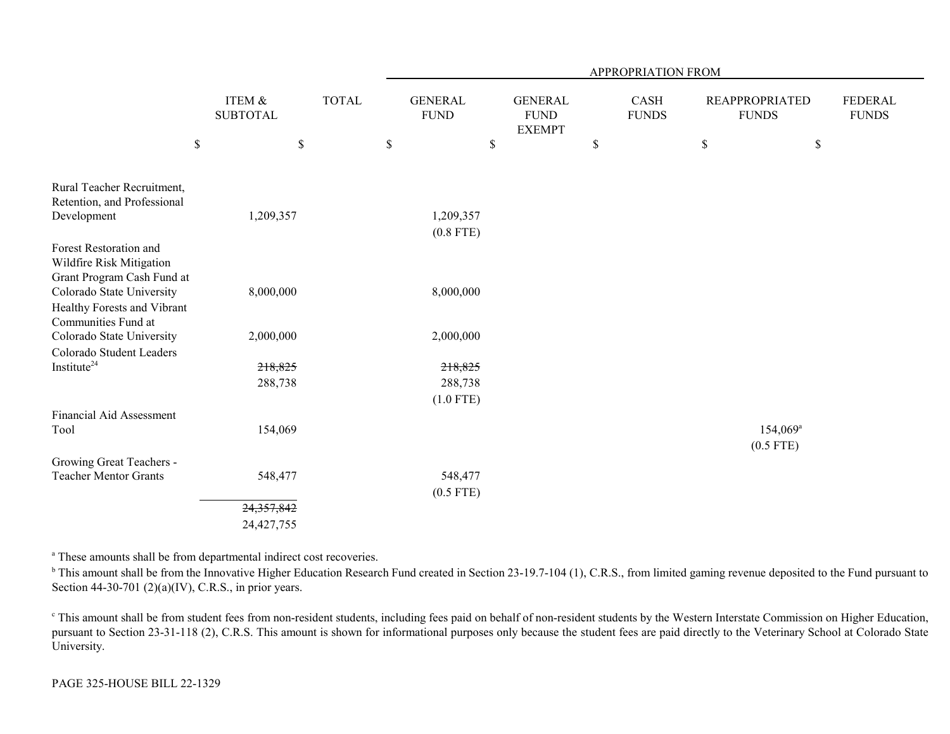| ITEM &<br><b>SUBTOTAL</b> | <b>TOTAL</b>                    | <b>GENERAL</b><br><b>FUND</b> | <b>GENERAL</b><br><b>FUND</b>                          |               |              | <b>FUNDS</b>                               | <b>FEDERAL</b><br><b>FUNDS</b>       |
|---------------------------|---------------------------------|-------------------------------|--------------------------------------------------------|---------------|--------------|--------------------------------------------|--------------------------------------|
| \$                        |                                 |                               | $\$$                                                   | \$            | $\mathbb{S}$ | $\$$                                       |                                      |
| 1,209,357                 |                                 | 1,209,357                     |                                                        |               |              |                                            |                                      |
|                           |                                 |                               |                                                        |               |              |                                            |                                      |
|                           |                                 |                               |                                                        |               |              |                                            |                                      |
| 2,000,000                 |                                 | 2,000,000                     |                                                        |               |              |                                            |                                      |
|                           |                                 |                               |                                                        |               |              |                                            |                                      |
|                           |                                 |                               |                                                        |               |              |                                            |                                      |
|                           |                                 | $(1.0$ FTE)                   |                                                        |               |              |                                            |                                      |
|                           |                                 |                               |                                                        |               |              |                                            |                                      |
| 154,069                   |                                 |                               |                                                        |               |              | $154,069^{\circ}$                          |                                      |
|                           |                                 |                               |                                                        |               |              |                                            |                                      |
| 548,477                   |                                 | 548,477<br>$(0.5$ FTE)        |                                                        |               |              |                                            |                                      |
| 24, 357, 842              |                                 |                               |                                                        |               |              |                                            |                                      |
| 24,427,755                |                                 |                               |                                                        |               |              |                                            |                                      |
|                           | 8,000,000<br>218,825<br>288,738 |                               | $\$$<br>$(0.8$ FTE)<br>8,000,000<br>218,825<br>288,738 | <b>EXEMPT</b> |              | APPROPRIATION FROM<br>CASH<br><b>FUNDS</b> | <b>REAPPROPRIATED</b><br>$(0.5$ FTE) |

a These amounts shall be from departmental indirect cost recoveries.

<sup>b</sup> This amount shall be from the Innovative Higher Education Research Fund created in Section 23-19.7-104 (1), C.R.S., from limited gaming revenue deposited to the Fund pursuant to Section 44-30-701 (2)(a)(IV), C.R.S., in prior years.

c This amount shall be from student fees from non-resident students, including fees paid on behalf of non-resident students by the Western Interstate Commission on Higher Education, pursuant to Section 23-31-118 (2), C.R.S. This amount is shown for informational purposes only because the student fees are paid directly to the Veterinary School at Colorado State University.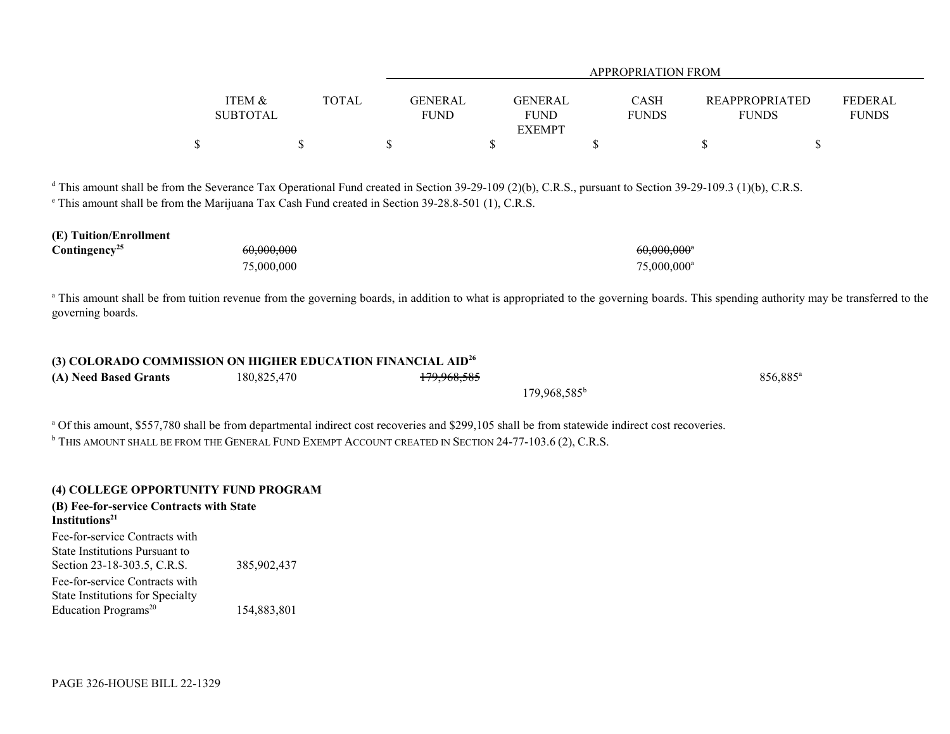|                                                                                                                                                                                                                                                                                        |                                      |              |                               |                                                | APPROPRIATION FROM                                   |                                       |                                |
|----------------------------------------------------------------------------------------------------------------------------------------------------------------------------------------------------------------------------------------------------------------------------------------|--------------------------------------|--------------|-------------------------------|------------------------------------------------|------------------------------------------------------|---------------------------------------|--------------------------------|
|                                                                                                                                                                                                                                                                                        | <b>ITEM &amp;</b><br><b>SUBTOTAL</b> | <b>TOTAL</b> | <b>GENERAL</b><br><b>FUND</b> | <b>GENERAL</b><br><b>FUND</b><br><b>EXEMPT</b> | CASH<br><b>FUNDS</b>                                 | <b>REAPPROPRIATED</b><br><b>FUNDS</b> | <b>FEDERAL</b><br><b>FUNDS</b> |
|                                                                                                                                                                                                                                                                                        | \$                                   | \$           | $\mathbb S$                   | \$                                             | \$                                                   | $\$$                                  | \$                             |
| <sup>d</sup> This amount shall be from the Severance Tax Operational Fund created in Section 39-29-109 (2)(b), C.R.S., pursuant to Section 39-29-109.3 (1)(b), C.R.S.<br><sup>e</sup> This amount shall be from the Marijuana Tax Cash Fund created in Section 39-28.8-501 (1), C.R.S. |                                      |              |                               |                                                |                                                      |                                       |                                |
| (E) Tuition/Enrollment<br>Contingency <sup>25</sup>                                                                                                                                                                                                                                    | 60,000,000<br>75,000,000             |              |                               |                                                | $60,000,000$ <sup>*</sup><br>75,000,000 <sup>a</sup> |                                       |                                |
| <sup>a</sup> This amount shall be from tuition revenue from the governing boards, in addition to what is appropriated to the governing boards. This spending authority may be transferred to the<br>governing boards.                                                                  |                                      |              |                               |                                                |                                                      |                                       |                                |
| (3) COLORADO COMMISSION ON HIGHER EDUCATION FINANCIAL AID <sup>26</sup><br>(A) Need Based Grants                                                                                                                                                                                       | 180,825,470                          |              | 179,968,585                   |                                                |                                                      | 856,885 <sup>a</sup>                  |                                |
|                                                                                                                                                                                                                                                                                        |                                      |              |                               | 179,968,585 <sup>b</sup>                       |                                                      |                                       |                                |
| <sup>a</sup> Of this amount, \$557,780 shall be from departmental indirect cost recoveries and \$299,105 shall be from statewide indirect cost recoveries.<br>$^{\rm b}$ This amount shall be from the General Fund Exempt Account created in Section 24-77-103.6 (2), C.R.S.          |                                      |              |                               |                                                |                                                      |                                       |                                |
| (4) COLLEGE OPPORTUNITY FUND PROGRAM<br>(B) Fee-for-service Contracts with State<br>Institutions <sup>21</sup>                                                                                                                                                                         |                                      |              |                               |                                                |                                                      |                                       |                                |
| Fee-for-service Contracts with<br>State Institutions Pursuant to<br>Section 23-18-303.5, C.R.S.                                                                                                                                                                                        | 385,902,437                          |              |                               |                                                |                                                      |                                       |                                |
| Fee-for-service Contracts with<br><b>State Institutions for Specialty</b><br>Education Programs <sup>20</sup>                                                                                                                                                                          | 154,883,801                          |              |                               |                                                |                                                      |                                       |                                |
|                                                                                                                                                                                                                                                                                        |                                      |              |                               |                                                |                                                      |                                       |                                |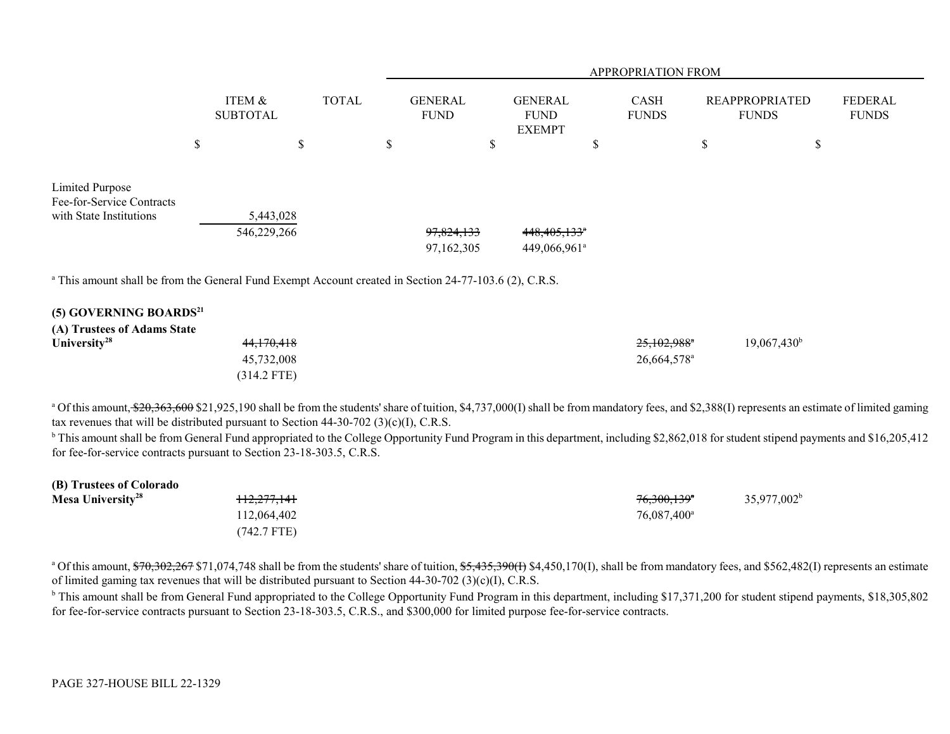|                                                                                                                   |                           | APPROPRIATION FROM |    |                               |   |                                                        |   |                      |                                       |                                |
|-------------------------------------------------------------------------------------------------------------------|---------------------------|--------------------|----|-------------------------------|---|--------------------------------------------------------|---|----------------------|---------------------------------------|--------------------------------|
|                                                                                                                   | ITEM &<br><b>SUBTOTAL</b> | <b>TOTAL</b>       |    | <b>GENERAL</b><br><b>FUND</b> |   | <b>GENERAL</b><br><b>FUND</b><br><b>EXEMPT</b>         |   | CASH<br><b>FUNDS</b> | <b>REAPPROPRIATED</b><br><b>FUNDS</b> | <b>FEDERAL</b><br><b>FUNDS</b> |
|                                                                                                                   | \$<br>\$                  |                    | \$ |                               | S |                                                        | ъ |                      | \$<br>\$                              |                                |
| Limited Purpose<br>Fee-for-Service Contracts<br>with State Institutions                                           | 5,443,028<br>546,229,266  |                    |    | 97,824,133<br>97,162,305      |   | $448,405,133$ <sup>*</sup><br>449,066,961 <sup>a</sup> |   |                      |                                       |                                |
| <sup>a</sup> This amount shall be from the General Fund Exempt Account created in Section 24-77-103.6 (2), C.R.S. |                           |                    |    |                               |   |                                                        |   |                      |                                       |                                |
| (5) GOVERNING BOARDS <sup>21</sup><br>(A) Trustees of Adams State                                                 |                           |                    |    |                               |   |                                                        |   |                      |                                       |                                |

| University <sup>28</sup> | <del>44,170,418</del> | $19,067,430^{\rm b}$<br>25,102,988 <sup>*</sup> |  |
|--------------------------|-----------------------|-------------------------------------------------|--|
|                          | 45,732,008            | 26,664,578 <sup>a</sup>                         |  |
|                          | (314.2 FTE)           |                                                 |  |

<sup>a</sup> Of this amount, \$20,363,600 \$21,925,190 shall be from the students' share of tuition, \$4,737,000(I) shall be from mandatory fees, and \$2,388(I) represents an estimate of limited gaming tax revenues that will be distributed pursuant to Section  $44-30-702$  (3)(c)(I), C.R.S.

<sup>b</sup> This amount shall be from General Fund appropriated to the College Opportunity Fund Program in this department, including \$2,862,018 for student stipend payments and \$16,205,412 for fee-for-service contracts pursuant to Section 23-18-303.5, C.R.S.

| (B) Trustees of Colorado      |                        |                         |                |
|-------------------------------|------------------------|-------------------------|----------------|
| Mesa University <sup>28</sup> | <del>112,277,141</del> | 76,300,139 <sup>*</sup> | $35,977,002^b$ |
|                               | 112,064,402            | 76,087,400 <sup>a</sup> |                |
|                               | (742.7 FTE)            |                         |                |

<sup>a</sup> Of this amount, \$70,302,267 \$71,074,748 shall be from the students' share of tuition, \$5,435,390(I) \$4,450,170(I), shall be from mandatory fees, and \$562,482(I) represents an estimate of limited gaming tax revenues that will be distributed pursuant to Section 44-30-702 (3)(c)(I), C.R.S.

<sup>b</sup> This amount shall be from General Fund appropriated to the College Opportunity Fund Program in this department, including \$17,371,200 for student stipend payments, \$18,305,802 for fee-for-service contracts pursuant to Section 23-18-303.5, C.R.S., and \$300,000 for limited purpose fee-for-service contracts.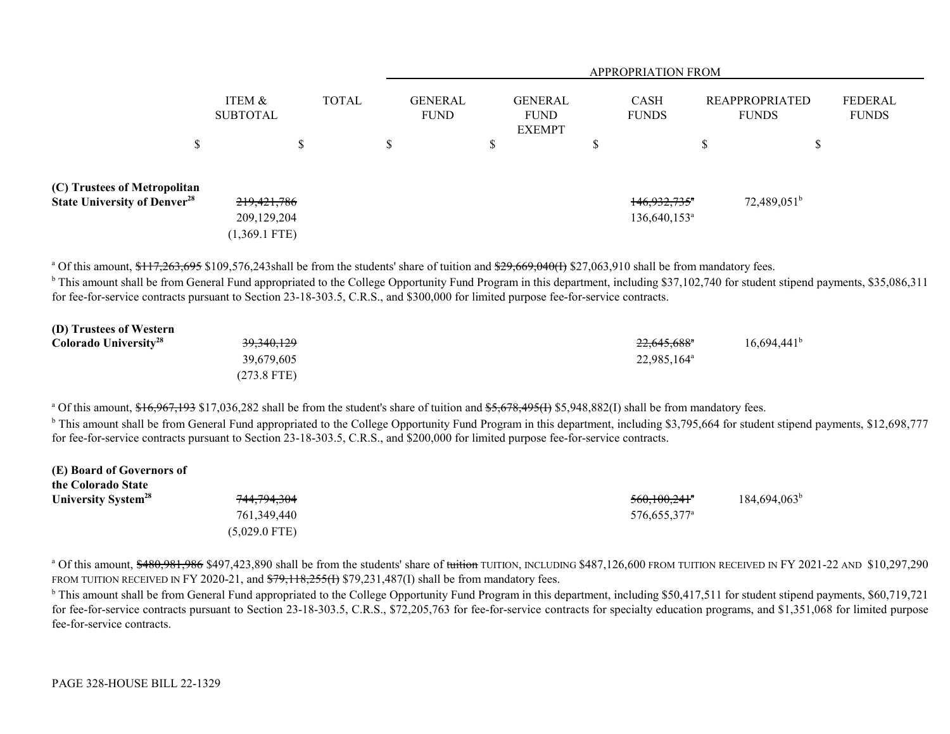|                                                                                |                                                   |              | <b>APPROPRIATION FROM</b>     |                                                |                                          |                                       |                         |  |  |
|--------------------------------------------------------------------------------|---------------------------------------------------|--------------|-------------------------------|------------------------------------------------|------------------------------------------|---------------------------------------|-------------------------|--|--|
|                                                                                | ITEM &<br><b>SUBTOTAL</b>                         | <b>TOTAL</b> | <b>GENERAL</b><br><b>FUND</b> | <b>GENERAL</b><br><b>FUND</b><br><b>EXEMPT</b> | <b>CASH</b><br><b>FUNDS</b>              | <b>REAPPROPRIATED</b><br><b>FUNDS</b> | FEDERAL<br><b>FUNDS</b> |  |  |
| S                                                                              |                                                   | S            | ٠D                            | \$                                             | \$                                       | S<br>۵D                               |                         |  |  |
| (C) Trustees of Metropolitan<br><b>State University of Denver<sup>28</sup></b> | 219, 421, 786<br>209, 129, 204<br>$(1,369.1$ FTE) |              |                               |                                                | $146,932,735$ *<br>$136,640,153^{\circ}$ | $72,489,051^b$                        |                         |  |  |

<sup>a</sup> Of this amount, \$117,263,695 \$109,576,243shall be from the students' share of tuition and \$29,669,040(1) \$27,063,910 shall be from mandatory fees.

<sup>b</sup> This amount shall be from General Fund appropriated to the College Opportunity Fund Program in this department, including \$37,102,740 for student stipend payments, \$35,086,311 for fee-for-service contracts pursuant to Section 23-18-303.5, C.R.S., and \$300,000 for limited purpose fee-for-service contracts.

| (D) Trustees of Western           |                       |                         |                      |
|-----------------------------------|-----------------------|-------------------------|----------------------|
| Colorado University <sup>28</sup> | <del>39,340,129</del> | 22,645,688 <sup>*</sup> | $16,694,441^{\circ}$ |
|                                   | 39,679,605            | 22,985,164 <sup>a</sup> |                      |
|                                   | $(273.8$ FTE)         |                         |                      |

<sup>a</sup> Of this amount, \$16,967,193 \$17,036,282 shall be from the student's share of tuition and \$5,678,495(<del>I</del>) \$5,948,882(I) shall be from mandatory fees.

<sup>b</sup> This amount shall be from General Fund appropriated to the College Opportunity Fund Program in this department, including \$3,795,664 for student stipend payments, \$12,698,777 for fee-for-service contracts pursuant to Section 23-18-303.5, C.R.S., and \$200,000 for limited purpose fee-for-service contracts.

| (E) Board of Governors of       |                        |                            |                       |
|---------------------------------|------------------------|----------------------------|-----------------------|
| the Colorado State              |                        |                            |                       |
| University System <sup>28</sup> | <del>744,794,304</del> | $560,100,241$ <sup>*</sup> | $184,694,063^{\circ}$ |
|                                 | 761,349,440            | 576,655,377 <sup>a</sup>   |                       |
|                                 | $(5,029.0$ FTE)        |                            |                       |

<sup>a</sup> Of this amount, \$480,981,986 \$497,423,890 shall be from the students' share of tuition TUITION, INCLUDING \$487,126,600 FROM TUITION RECEIVED IN FY 2021-22 AND \$10,297,290 FROM TUITION RECEIVED IN FY 2020-21, and  $$79,118,255(f)$   $$79,231,487(f)$  shall be from mandatory fees.

 $\rm b$  This amount shall be from General Fund appropriated to the College Opportunity Fund Program in this department, including \$50,417,511 for student stipend payments, \$60,719,721 for fee-for-service contracts pursuant to Section 23-18-303.5, C.R.S., \$72,205,763 for fee-for-service contracts for specialty education programs, and \$1,351,068 for limited purpose fee-for-service contracts.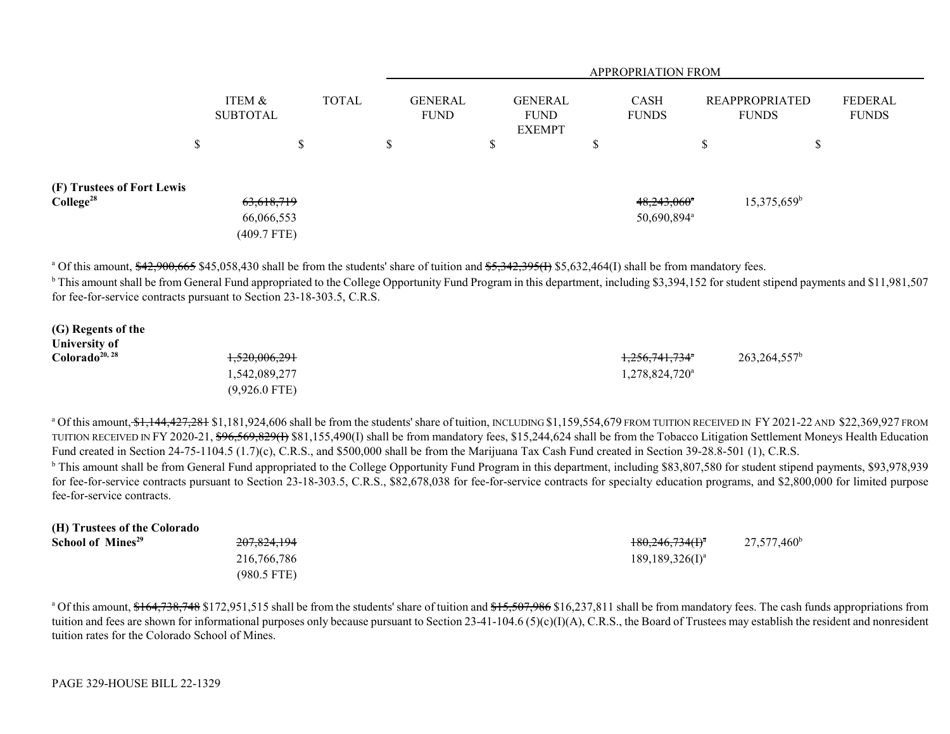|                                                     |                                           | <b>APPROPRIATION FROM</b> |              |    |                               |    |                                                |        |                                                      |                   |                                       |   |                         |
|-----------------------------------------------------|-------------------------------------------|---------------------------|--------------|----|-------------------------------|----|------------------------------------------------|--------|------------------------------------------------------|-------------------|---------------------------------------|---|-------------------------|
|                                                     | ITEM &<br><b>SUBTOTAL</b>                 |                           | <b>TOTAL</b> |    | <b>GENERAL</b><br><b>FUND</b> |    | <b>GENERAL</b><br><b>FUND</b><br><b>EXEMPT</b> |        | <b>CASH</b><br><b>FUNDS</b>                          |                   | <b>REAPPROPRIATED</b><br><b>FUNDS</b> |   | FEDERAL<br><b>FUNDS</b> |
|                                                     | \$                                        | ጦ<br>D                    |              | Ъ. |                               | \$ |                                                | ሖ<br>᠕ |                                                      | $\triangle$<br>۰D |                                       | Φ |                         |
| (F) Trustees of Fort Lewis<br>College <sup>28</sup> | 63,618,719<br>66,066,553<br>$(409.7$ FTE) |                           |              |    |                               |    |                                                |        | $48,243,060$ <sup>*</sup><br>50,690,894 <sup>a</sup> |                   | 15,375,659 <sup>b</sup>               |   |                         |

<sup>a</sup> Of this amount, \$42,900,665 \$45,058,430 shall be from the students' share of tuition and \$5,342,395(I) \$5,632,464(I) shall be from mandatory fees.

<sup>b</sup> This amount shall be from General Fund appropriated to the College Opportunity Fund Program in this department, including \$3,394,152 for student stipend payments and \$11,981,507 for fee-for-service contracts pursuant to Section 23-18-303.5, C.R.S.

| (G) Regents of the         |                          |                            |                          |
|----------------------------|--------------------------|----------------------------|--------------------------|
| <b>University of</b>       |                          |                            |                          |
| Colorado <sup>20, 28</sup> | <del>1,520,006,291</del> | 1,256,741,734 <sup>a</sup> | 263,264,557 <sup>b</sup> |
|                            | 1,542,089,277            | 1,278,824,720 <sup>a</sup> |                          |
|                            | $(9,926.0$ FTE)          |                            |                          |

<sup>a</sup> Of this amount, \$1,144,427,281 \$1,181,924,606 shall be from the students' share of tuition, INCLUDING \$1,159,554,679 FROM TUITION RECEIVED IN FY 2021-22 AND \$22,369,927 FROM TUITION RECEIVED IN FY 2020-21, <del>\$96,569,829(I)</del> \$81,155,490(I) shall be from mandatory fees, \$15,244,624 shall be from the Tobacco Litigation Settlement Moneys Health Education Fund created in Section 24-75-1104.5 (1.7)(c), C.R.S., and \$500,000 shall be from the Marijuana Tax Cash Fund created in Section 39-28.8-501 (1), C.R.S.

<sup>b</sup> This amount shall be from General Fund appropriated to the College Opportunity Fund Program in this department, including \$83,807,580 for student stipend payments, \$93,978,939 for fee-for-service contracts pursuant to Section 23-18-303.5, C.R.S., \$82,678,038 for fee-for-service contracts for specialty education programs, and \$2,800,000 for limited purpose fee-for-service contracts.

| (H) Trustees of the Colorado  |               |                                  |                      |
|-------------------------------|---------------|----------------------------------|----------------------|
| School of Mines <sup>29</sup> | 207,824,194   | $180,246,734(f)^{a}$             | $27,577,460^{\circ}$ |
|                               | 216,766,786   | $189, 189, 326$ (I) <sup>a</sup> |                      |
|                               | $(980.5$ FTE) |                                  |                      |

<sup>a</sup> Of this amount, \$164,738,748 \$172,951,515 shall be from the students' share of tuition and \$15,507,986 \$16,237,811 shall be from mandatory fees. The cash funds appropriations from tuition and fees are shown for informational purposes only because pursuant to Section  $23-41-104.6$  (5)(c)(I)(A), C.R.S., the Board of Trustees may establish the resident and nonresident tuition rates for the Colorado School of Mines.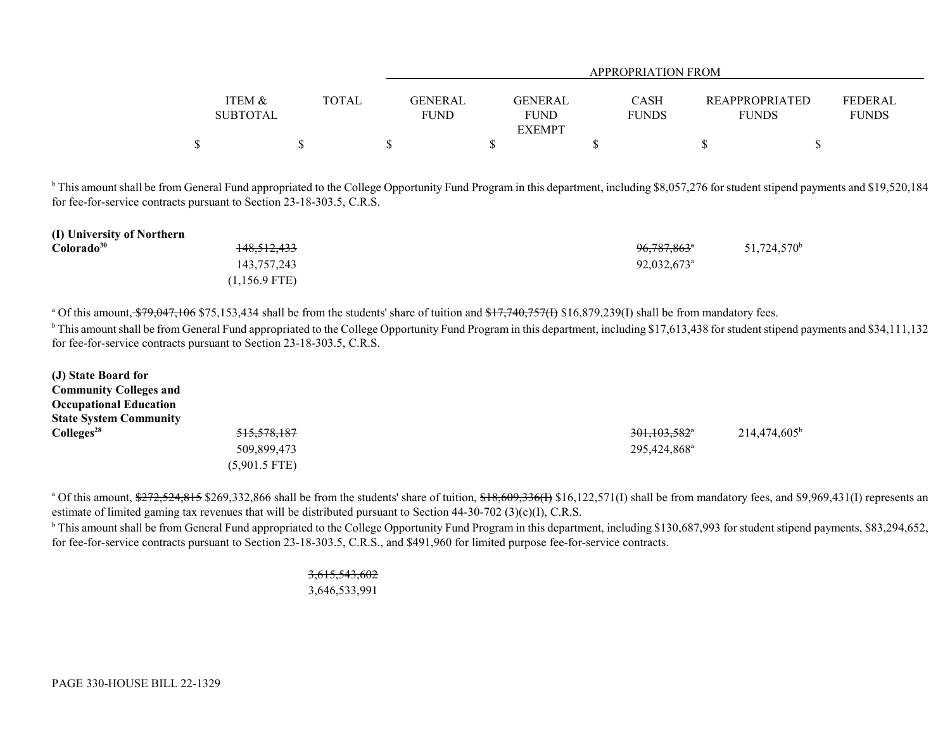|                 |              |                | APPROPRIATION FROM |              |                |              |  |  |  |  |
|-----------------|--------------|----------------|--------------------|--------------|----------------|--------------|--|--|--|--|
|                 |              |                |                    |              |                |              |  |  |  |  |
| ITEM &          | <b>TOTAL</b> | <b>GENERAL</b> | <b>GENERAL</b>     | <b>CASH</b>  | REAPPROPRIATED | FEDERAL      |  |  |  |  |
| <b>SUBTOTAL</b> |              | <b>FUND</b>    | <b>FUND</b>        | <b>FUNDS</b> | <b>FUNDS</b>   | <b>FUNDS</b> |  |  |  |  |
|                 |              |                | <b>EXEMPT</b>      |              |                |              |  |  |  |  |
|                 |              |                |                    |              |                |              |  |  |  |  |

<sup>b</sup> This amount shall be from General Fund appropriated to the College Opportunity Fund Program in this department, including \$8,057,276 for student stipend payments and \$19,520,184 for fee-for-service contracts pursuant to Section 23-18-303.5, C.R.S.

| (I) University of Northern |                        |                           |                         |
|----------------------------|------------------------|---------------------------|-------------------------|
| Colorado <sup>30</sup>     | <del>148,512,433</del> | 96,787,863 <sup>*</sup>   | 51,724,570 <sup>b</sup> |
|                            | 143,757,243            | $92,032,673$ <sup>a</sup> |                         |
|                            | $(1,156.9$ FTE)        |                           |                         |

<sup>a</sup> Of this amount,  $\frac{$79,047,106}{$75,153,434}$  shall be from the students' share of tuition and  $\frac{$17,740,757}{11}$  \$16,879,239(I) shall be from mandatory fees.

<sup>b</sup> This amount shall be from General Fund appropriated to the College Opportunity Fund Program in this department, including \$17,613,438 for student stipend payments and \$34,111,132 for fee-for-service contracts pursuant to Section 23-18-303.5, C.R.S.

| (J) State Board for           |                 |                            |                       |
|-------------------------------|-----------------|----------------------------|-----------------------|
| <b>Community Colleges and</b> |                 |                            |                       |
| <b>Occupational Education</b> |                 |                            |                       |
| <b>State System Community</b> |                 |                            |                       |
| Colleges <sup>28</sup>        | 515,578,187     | $301,103,582$ <sup>*</sup> | $214,474,605^{\rm b}$ |
|                               | 509,899,473     | 295,424,868 <sup>a</sup>   |                       |
|                               | $(5,901.5$ FTE) |                            |                       |

<sup>a</sup> Of this amount,  $\frac{272}{524}$ ,  $\frac{815}{5269}$ ,  $\frac{332}{866}$  shall be from the students' share of tuition,  $\frac{18}{609}$ ,  $\frac{336}{1}$ ,  $\frac{16}{122}$ ,  $\frac{571}{1}$  shall be from mandatory fees, and \$9,969,431(I) represent estimate of limited gaming tax revenues that will be distributed pursuant to Section 44-30-702 (3)(c)(I), C.R.S.

<sup>b</sup> This amount shall be from General Fund appropriated to the College Opportunity Fund Program in this department, including \$130,687,993 for student stipend payments, \$83,294,652, for fee-for-service contracts pursuant to Section 23-18-303.5, C.R.S., and \$491,960 for limited purpose fee-for-service contracts.

> 3,615,543,602 3,646,533,991